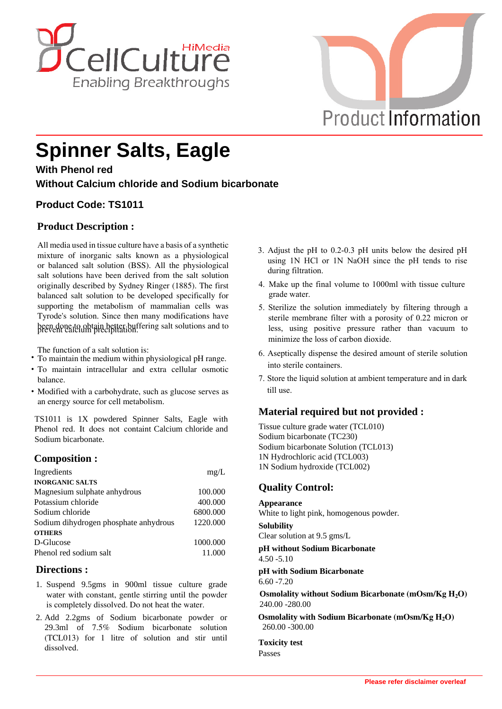



# **Spinner Salts, Eagle**

**With Phenol red**

**Without Calcium chloride and Sodium bicarbonate**

# **Product Code: TS1011**

## **Product Description :**

All media used in tissue culture have a basis of a synthetic mixture of inorganic salts known as a physiological or balanced salt solution (BSS). All the physiological salt solutions have been derived from the salt solution originally described by Sydney Ringer (1885). The first balanced salt solution to be developed specifically for supporting the metabolism of mammalian cells was Tyrode's solution. Since then many modifications have been done to obtain better buffering salt solutions and to prevent calcium precipitation.

The function of a salt solution is:

- **·** To maintain the medium within physiological pH range.
- **·** To maintain intracellular and extra cellular osmotic balance.
- **·** Modified with a carbohydrate, such as glucose serves as an energy source for cell metabolism.

TS1011 is 1X powdered Spinner Salts, Eagle with Phenol red. It does not containt Calcium chloride and Sodium bicarbonate.

## **Composition :**

| Ingredients                           | mg/L     |
|---------------------------------------|----------|
| <b>INORGANIC SALTS</b>                |          |
| Magnesium sulphate anhydrous          | 100.000  |
| Potassium chloride                    | 400.000  |
| Sodium chloride                       | 6800.000 |
| Sodium dihydrogen phosphate anhydrous | 1220.000 |
| <b>OTHERS</b>                         |          |
| D-Glucose                             | 1000.000 |
| Phenol red sodium salt                | 11.000   |

## **Directions :**

- 1. Suspend 9.5gms in 900ml tissue culture grade water with constant, gentle stirring until the powder is completely dissolved. Do not heat the water.
- 2. Add 2.2gms of Sodium bicarbonate powder or 29.3ml of 7.5% Sodium bicarbonate solution (TCL013) for 1 litre of solution and stir until dissolved.
- 3. Adjust the pH to 0.2-0.3 pH units below the desired pH using 1N HCl or 1N NaOH since the pH tends to rise during filtration.
- 4. Make up the final volume to 1000ml with tissue culture grade water.
- 5. Sterilize the solution immediately by filtering through a sterile membrane filter with a porosity of 0.22 micron or less, using positive pressure rather than vacuum to minimize the loss of carbon dioxide.
- 6. Aseptically dispense the desired amount of sterile solution into sterile containers.
- 7. Store the liquid solution at ambient temperature and in dark till use.

## **Material required but not provided :**

Tissue culture grade water (TCL010) Sodium bicarbonate (TC230) Sodium bicarbonate Solution (TCL013) 1N Hydrochloric acid (TCL003) 1N Sodium hydroxide (TCL002)

## **Quality Control:**

#### **Appearance**

White to light pink, homogenous powder.

**Solubility** Clear solution at 9.5 gms/L

**pH without Sodium Bicarbonate** 4.50 -5.10

**pH with Sodium Bicarbonate** 6.60 -7.20

**Osmolality without Sodium Bicarbonate (mOsm/Kg H2O)** 240.00 -280.00

**Osmolality with Sodium Bicarbonate (mOsm/Kg H2O)** 260.00 -300.00

**Toxicity test** Passes